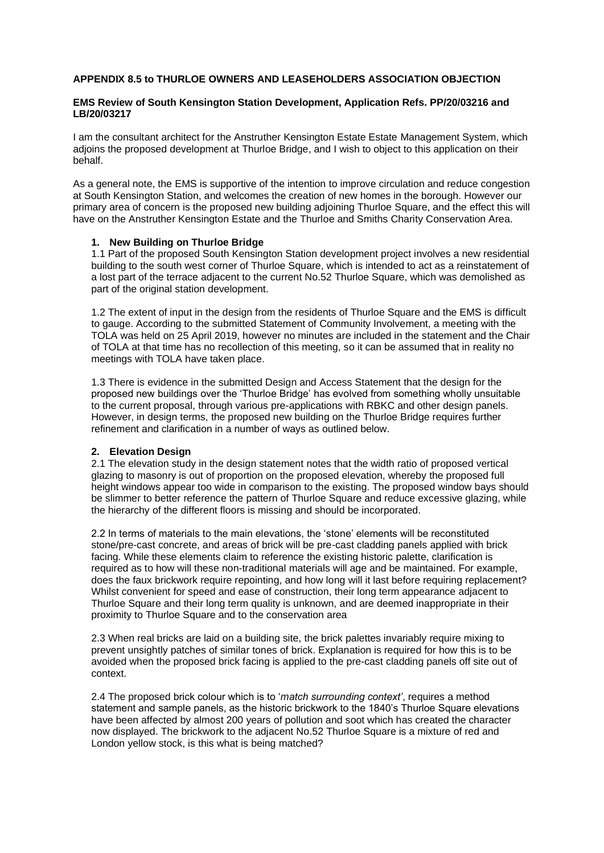## **APPENDIX 8.5 to THURLOE OWNERS AND LEASEHOLDERS ASSOCIATION OBJECTION**

## **EMS Review of South Kensington Station Development, Application Refs. PP/20/03216 and LB/20/03217**

I am the consultant architect for the Anstruther Kensington Estate Estate Management System, which adjoins the proposed development at Thurloe Bridge, and I wish to object to this application on their behalf.

As a general note, the EMS is supportive of the intention to improve circulation and reduce congestion at South Kensington Station, and welcomes the creation of new homes in the borough. However our primary area of concern is the proposed new building adjoining Thurloe Square, and the effect this will have on the Anstruther Kensington Estate and the Thurloe and Smiths Charity Conservation Area.

### **1. New Building on Thurloe Bridge**

1.1 Part of the proposed South Kensington Station development project involves a new residential building to the south west corner of Thurloe Square, which is intended to act as a reinstatement of a lost part of the terrace adjacent to the current No.52 Thurloe Square, which was demolished as part of the original station development.

1.2 The extent of input in the design from the residents of Thurloe Square and the EMS is difficult to gauge. According to the submitted Statement of Community Involvement, a meeting with the TOLA was held on 25 April 2019, however no minutes are included in the statement and the Chair of TOLA at that time has no recollection of this meeting, so it can be assumed that in reality no meetings with TOLA have taken place.

1.3 There is evidence in the submitted Design and Access Statement that the design for the proposed new buildings over the 'Thurloe Bridge' has evolved from something wholly unsuitable to the current proposal, through various pre-applications with RBKC and other design panels. However, in design terms, the proposed new building on the Thurloe Bridge requires further refinement and clarification in a number of ways as outlined below.

### **2. Elevation Design**

2.1 The elevation study in the design statement notes that the width ratio of proposed vertical glazing to masonry is out of proportion on the proposed elevation, whereby the proposed full height windows appear too wide in comparison to the existing. The proposed window bays should be slimmer to better reference the pattern of Thurloe Square and reduce excessive glazing, while the hierarchy of the different floors is missing and should be incorporated.

2.2 In terms of materials to the main elevations, the 'stone' elements will be reconstituted stone/pre-cast concrete, and areas of brick will be pre-cast cladding panels applied with brick facing. While these elements claim to reference the existing historic palette, clarification is required as to how will these non-traditional materials will age and be maintained. For example, does the faux brickwork require repointing, and how long will it last before requiring replacement? Whilst convenient for speed and ease of construction, their long term appearance adjacent to Thurloe Square and their long term quality is unknown, and are deemed inappropriate in their proximity to Thurloe Square and to the conservation area

2.3 When real bricks are laid on a building site, the brick palettes invariably require mixing to prevent unsightly patches of similar tones of brick. Explanation is required for how this is to be avoided when the proposed brick facing is applied to the pre-cast cladding panels off site out of context.

2.4 The proposed brick colour which is to '*match surrounding context'*, requires a method statement and sample panels, as the historic brickwork to the 1840's Thurloe Square elevations have been affected by almost 200 years of pollution and soot which has created the character now displayed. The brickwork to the adjacent No.52 Thurloe Square is a mixture of red and London yellow stock, is this what is being matched?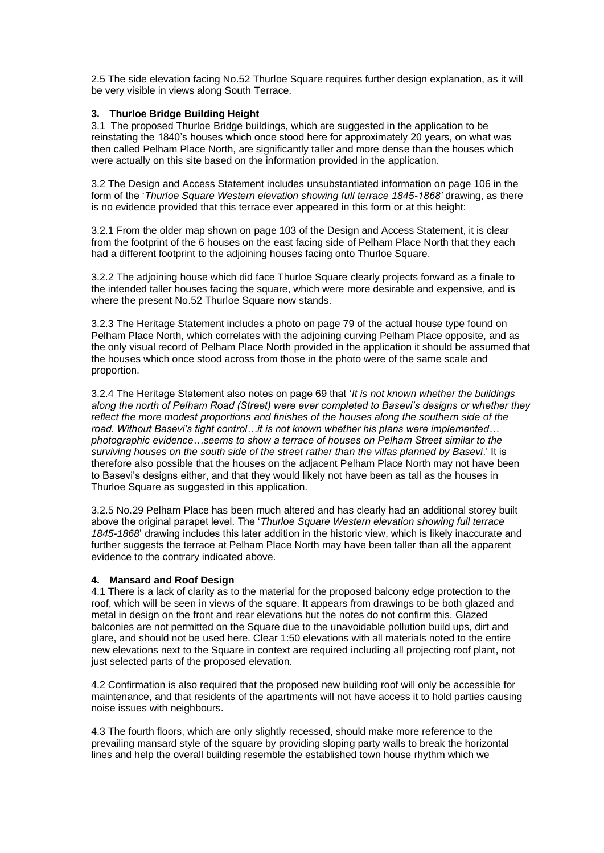2.5 The side elevation facing No.52 Thurloe Square requires further design explanation, as it will be very visible in views along South Terrace.

# **3. Thurloe Bridge Building Height**

3.1 The proposed Thurloe Bridge buildings, which are suggested in the application to be reinstating the 1840's houses which once stood here for approximately 20 years, on what was then called Pelham Place North, are significantly taller and more dense than the houses which were actually on this site based on the information provided in the application.

3.2 The Design and Access Statement includes unsubstantiated information on page 106 in the form of the '*Thurloe Square Western elevation showing full terrace 1845-1868'* drawing, as there is no evidence provided that this terrace ever appeared in this form or at this height:

3.2.1 From the older map shown on page 103 of the Design and Access Statement, it is clear from the footprint of the 6 houses on the east facing side of Pelham Place North that they each had a different footprint to the adjoining houses facing onto Thurloe Square.

3.2.2 The adjoining house which did face Thurloe Square clearly projects forward as a finale to the intended taller houses facing the square, which were more desirable and expensive, and is where the present No.52 Thurloe Square now stands.

3.2.3 The Heritage Statement includes a photo on page 79 of the actual house type found on Pelham Place North, which correlates with the adjoining curving Pelham Place opposite, and as the only visual record of Pelham Place North provided in the application it should be assumed that the houses which once stood across from those in the photo were of the same scale and proportion.

3.2.4 The Heritage Statement also notes on page 69 that '*It is not known whether the buildings along the north of Pelham Road (Street) were ever completed to Basevi's designs or whether they reflect the more modest proportions and finishes of the houses along the southern side of the road. Without Basevi's tight control…it is not known whether his plans were implemented… photographic evidence…seems to show a terrace of houses on Pelham Street similar to the surviving houses on the south side of the street rather than the villas planned by Basevi*.' It is therefore also possible that the houses on the adjacent Pelham Place North may not have been to Basevi's designs either, and that they would likely not have been as tall as the houses in Thurloe Square as suggested in this application.

3.2.5 No.29 Pelham Place has been much altered and has clearly had an additional storey built above the original parapet level. The '*Thurloe Square Western elevation showing full terrace 1845-1868*' drawing includes this later addition in the historic view, which is likely inaccurate and further suggests the terrace at Pelham Place North may have been taller than all the apparent evidence to the contrary indicated above.

### **4. Mansard and Roof Design**

4.1 There is a lack of clarity as to the material for the proposed balcony edge protection to the roof, which will be seen in views of the square. It appears from drawings to be both glazed and metal in design on the front and rear elevations but the notes do not confirm this. Glazed balconies are not permitted on the Square due to the unavoidable pollution build ups, dirt and glare, and should not be used here. Clear 1:50 elevations with all materials noted to the entire new elevations next to the Square in context are required including all projecting roof plant, not just selected parts of the proposed elevation.

4.2 Confirmation is also required that the proposed new building roof will only be accessible for maintenance, and that residents of the apartments will not have access it to hold parties causing noise issues with neighbours.

4.3 The fourth floors, which are only slightly recessed, should make more reference to the prevailing mansard style of the square by providing sloping party walls to break the horizontal lines and help the overall building resemble the established town house rhythm which we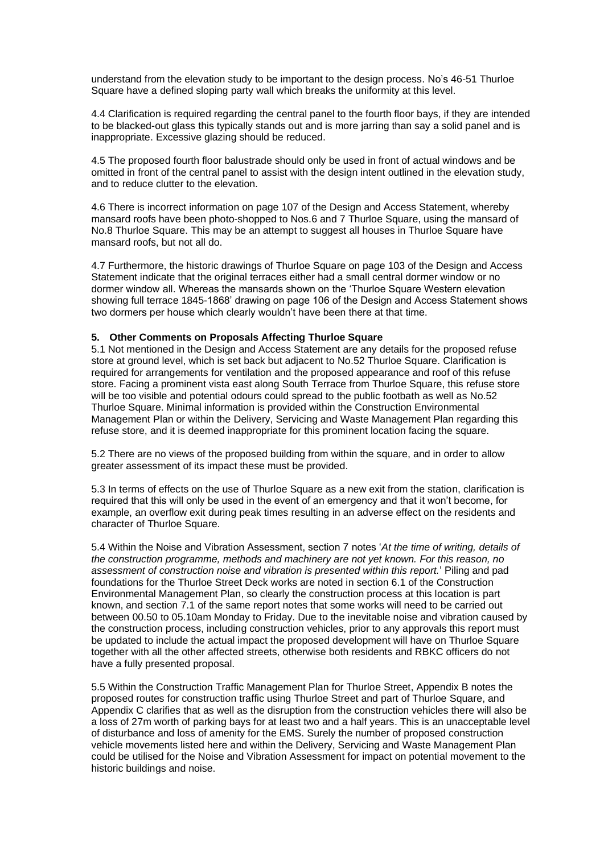understand from the elevation study to be important to the design process. No's 46-51 Thurloe Square have a defined sloping party wall which breaks the uniformity at this level.

4.4 Clarification is required regarding the central panel to the fourth floor bays, if they are intended to be blacked-out glass this typically stands out and is more jarring than say a solid panel and is inappropriate. Excessive glazing should be reduced.

4.5 The proposed fourth floor balustrade should only be used in front of actual windows and be omitted in front of the central panel to assist with the design intent outlined in the elevation study, and to reduce clutter to the elevation.

4.6 There is incorrect information on page 107 of the Design and Access Statement, whereby mansard roofs have been photo-shopped to Nos.6 and 7 Thurloe Square, using the mansard of No.8 Thurloe Square. This may be an attempt to suggest all houses in Thurloe Square have mansard roofs, but not all do.

4.7 Furthermore, the historic drawings of Thurloe Square on page 103 of the Design and Access Statement indicate that the original terraces either had a small central dormer window or no dormer window all. Whereas the mansards shown on the 'Thurloe Square Western elevation showing full terrace 1845-1868' drawing on page 106 of the Design and Access Statement shows two dormers per house which clearly wouldn't have been there at that time.

### **5. Other Comments on Proposals Affecting Thurloe Square**

5.1 Not mentioned in the Design and Access Statement are any details for the proposed refuse store at ground level, which is set back but adjacent to No.52 Thurloe Square. Clarification is required for arrangements for ventilation and the proposed appearance and roof of this refuse store. Facing a prominent vista east along South Terrace from Thurloe Square, this refuse store will be too visible and potential odours could spread to the public footbath as well as No.52 Thurloe Square. Minimal information is provided within the Construction Environmental Management Plan or within the Delivery, Servicing and Waste Management Plan regarding this refuse store, and it is deemed inappropriate for this prominent location facing the square.

5.2 There are no views of the proposed building from within the square, and in order to allow greater assessment of its impact these must be provided.

5.3 In terms of effects on the use of Thurloe Square as a new exit from the station, clarification is required that this will only be used in the event of an emergency and that it won't become, for example, an overflow exit during peak times resulting in an adverse effect on the residents and character of Thurloe Square.

5.4 Within the Noise and Vibration Assessment, section 7 notes '*At the time of writing, details of the construction programme, methods and machinery are not yet known. For this reason, no assessment of construction noise and vibration is presented within this report.*' Piling and pad foundations for the Thurloe Street Deck works are noted in section 6.1 of the Construction Environmental Management Plan, so clearly the construction process at this location is part known, and section 7.1 of the same report notes that some works will need to be carried out between 00.50 to 05.10am Monday to Friday. Due to the inevitable noise and vibration caused by the construction process, including construction vehicles, prior to any approvals this report must be updated to include the actual impact the proposed development will have on Thurloe Square together with all the other affected streets, otherwise both residents and RBKC officers do not have a fully presented proposal.

5.5 Within the Construction Traffic Management Plan for Thurloe Street, Appendix B notes the proposed routes for construction traffic using Thurloe Street and part of Thurloe Square, and Appendix C clarifies that as well as the disruption from the construction vehicles there will also be a loss of 27m worth of parking bays for at least two and a half years. This is an unacceptable level of disturbance and loss of amenity for the EMS. Surely the number of proposed construction vehicle movements listed here and within the Delivery, Servicing and Waste Management Plan could be utilised for the Noise and Vibration Assessment for impact on potential movement to the historic buildings and noise.